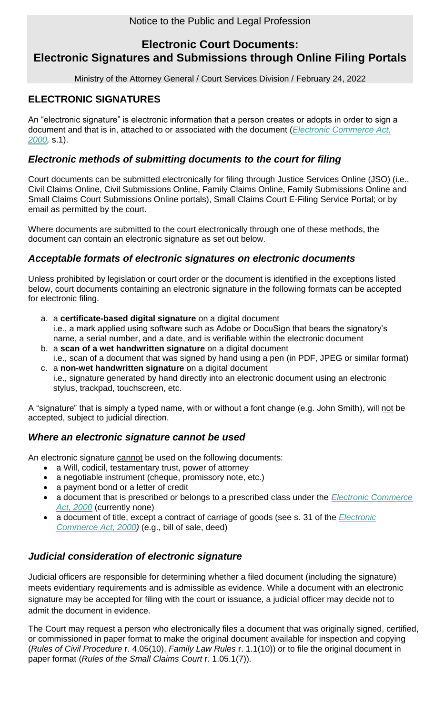# **Electronic Court Documents: Electronic Signatures and Submissions through Online Filing Portals**

Ministry of the Attorney General / Court Services Division / February 24, 2022

### **ELECTRONIC SIGNATURES**

An "electronic signature" is electronic information that a person creates or adopts in order to sign a document and that is in, attached to or associated with the document (*[Electronic Commerce Act,](https://www.ontario.ca/laws/statute/00e17#BK1)  [2000,](https://www.ontario.ca/laws/statute/00e17#BK1)* s.1).

### *Electronic methods of submitting documents to the court for filing*

Court documents can be submitted electronically for filing through Justice Services Online (JSO) (i.e., Civil Claims Online, Civil Submissions Online, Family Claims Online, Family Submissions Online and Small Claims Court Submissions Online portals), Small Claims Court E-Filing Service Portal; or by email as permitted by the court.

Where documents are submitted to the court electronically through one of these methods, the document can contain an electronic signature as set out below.

#### *Acceptable formats of electronic signatures on electronic documents*

Unless prohibited by legislation or court order or the document is identified in the exceptions listed below, court documents containing an electronic signature in the following formats can be accepted for electronic filing.

- a. a **certificate-based digital signature** on a digital document i.e., a mark applied using software such as Adobe or DocuSign that bears the signatory's name, a serial number, and a date, and is verifiable within the electronic document b. a **scan of a wet handwritten signature** on a digital document
- i.e., scan of a document that was signed by hand using a pen (in PDF, JPEG or similar format) c. a **non-wet handwritten signature** on a digital document
- i.e., signature generated by hand directly into an electronic document using an electronic stylus, trackpad, touchscreen, etc.

A "signature" that is simply a typed name, with or without a font change (e.g. John Smith), will not be accepted, subject to judicial direction.

#### *Where an electronic signature cannot be used*

An electronic signature cannot be used on the following documents:

- a Will, codicil, testamentary trust, power of attorney
- a negotiable instrument (cheque, promissory note, etc.)
- a payment bond or a letter of credit
- a document that is prescribed or belongs to a prescribed class under the *[Electronic Commerce](https://www.ontario.ca/laws/statute/00e17#BK1)  [Act, 2000](https://www.ontario.ca/laws/statute/00e17#BK1)* (currently none)
- a document of title, except a contract of carriage of goods (see s. 31 of the *[Electronic](https://www.ontario.ca/laws/statute/00e17#BK1)  [Commerce Act, 2000\)](https://www.ontario.ca/laws/statute/00e17#BK1)* (e.g., bill of sale, deed)

### *Judicial consideration of electronic signature*

Judicial officers are responsible for determining whether a filed document (including the signature) meets evidentiary requirements and is admissible as evidence. While a document with an electronic signature may be accepted for filing with the court or issuance, a judicial officer may decide not to admit the document in evidence.

The Court may request a person who electronically files a document that was originally signed, certified, or commissioned in paper format to make the original document available for inspection and copying (*Rules of Civil Procedure* r. 4.05(10), *Family Law Rules* r. 1.1(10)) or to file the original document in paper format (*Rules of the Small Claims Court* r. 1.05.1(7)).